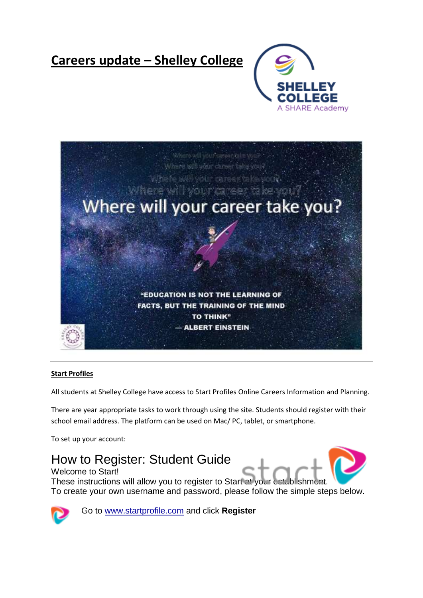# **Careers update – Shelley College**





## **Start Profiles**

All students at Shelley College have access to Start Profiles Online Careers Information and Planning.

There are year appropriate tasks to work through using the site. Students should register with their school email address. The platform can be used on Mac/ PC, tablet, or smartphone.

To set up your account:

How to Register: Student Guide Welcome to Start!

These instructions will allow you to register to Start at your establishm To create your own username and password, please follow the simple steps below.



Go to [www.startprofile.com](http://www.startprofile.com/) and click **Register**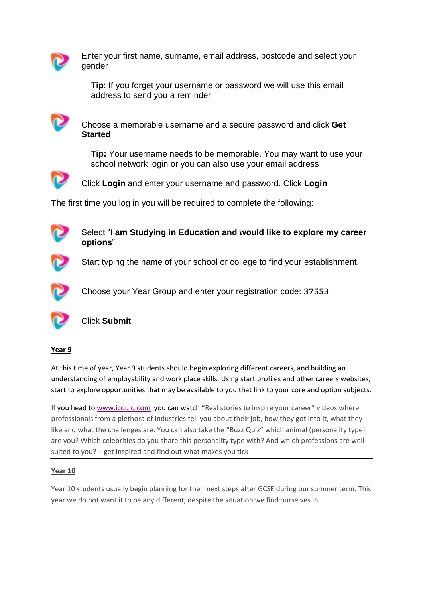

Enter your first name, surname, email address, postcode and select your gender

**Tip**: If you forget your username or password we will use this email address to send you a reminder



Choose a memorable username and a secure password and click **Get Started**

**Tip:** Your username needs to be memorable. You may want to use your school network login or you can also use your email address



Click **Login** and enter your username and password. Click **Login**

The first time you log in you will be required to complete the following:



Select "**I am Studying in Education and would like to explore my career options**"



Start typing the name of your school or college to find your establishment.



Choose your Year Group and enter your registration code: **37553**



Click **Submit**

## **Year 9**

At this time of year, Year 9 students should begin exploring different careers, and building an understanding of employability and work place skills. Using start profiles and other careers websites, start to explore opportunities that may be available to you that link to your core and option subjects.

If you head to [www.icould.com](http://www.icould.com/) you can watch "Real stories to inspire your career" videos where professionals from a plethora of industries tell you about their job, how they got into it, what they like and what the challenges are. You can also take the "Buzz Quiz" which animal (personality type) are you? Which celebrities do you share this personality type with? And which professions are well suited to you? – get inspired and find out what makes you tick!

## **Year 10**

Year 10 students usually begin planning for their next steps after GCSE during our summer term. This year we do not want it to be any different, despite the situation we find ourselves in.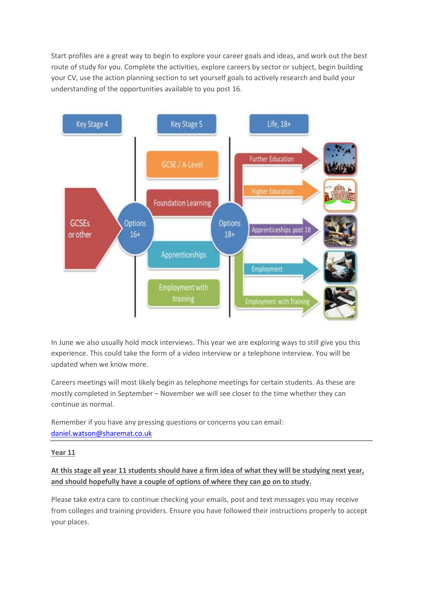Start profiles are a great way to begin to explore your career goals and ideas, and work out the best route of study for you. Complete the activities, explore careers by sector or subject, begin building your CV, use the action planning section to set yourself goals to actively research and build your understanding of the opportunities available to you post 16.



In June we also usually hold mock interviews. This year we are exploring ways to still give you this experience. This could take the form of a video interview or a telephone interview. You will be updated when we know more.

Careers meetings will most likely begin as telephone meetings for certain students. As these are mostly completed in September – November we will see closer to the time whether they can continue as normal.

Remember if you have any pressing questions or concerns you can email: [daniel.watson@sharemat.co.uk](mailto:daniel.watson@sharemat.co.uk)

**Year 11**

## **At this stage all year 11 students should have a firm idea of what they will be studying next year, and should hopefully have a couple of options of where they can go on to study.**

Please take extra care to continue checking your emails, post and text messages you may receive from colleges and training providers. Ensure you have followed their instructions properly to accept your places.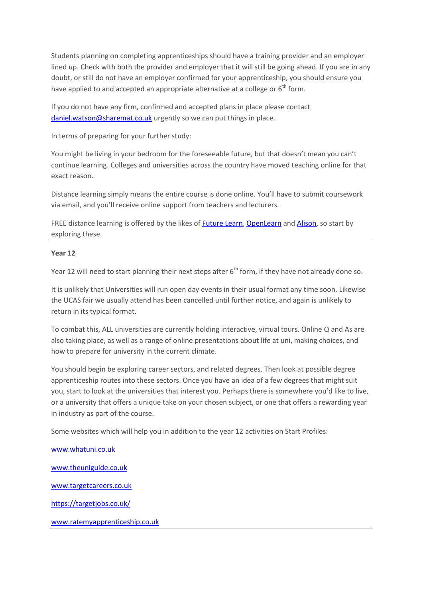Students planning on completing apprenticeships should have a training provider and an employer lined up. Check with both the provider and employer that it will still be going ahead. If you are in any doubt, or still do not have an employer confirmed for your apprenticeship, you should ensure you have applied to and accepted an appropriate alternative at a college or  $6<sup>th</sup>$  form.

If you do not have any firm, confirmed and accepted plans in place please contact [daniel.watson@sharemat.co.uk](mailto:daniel.watson@sharemat.co.uk) urgently so we can put things in place.

In terms of preparing for your further study:

You might be living in your bedroom for the foreseeable future, but that doesn't mean you can't continue learning. Colleges and universities across the country have moved teaching online for that exact reason.

Distance learning simply means the entire course is done online. You'll have to submit coursework via email, and you'll receive online support from teachers and lecturers.

FREE distance learning is offered by the likes o[f Future Learn,](http://www.futurelearn.com/) [OpenLearn](https://www.open.edu/openlearn/) and [Alison,](https://alison.com/) so start by exploring these.

## **Year 12**

Year 12 will need to start planning their next steps after  $6<sup>th</sup>$  form, if they have not already done so.

It is unlikely that Universities will run open day events in their usual format any time soon. Likewise the UCAS fair we usually attend has been cancelled until further notice, and again is unlikely to return in its typical format.

To combat this, ALL universities are currently holding interactive, virtual tours. Online Q and As are also taking place, as well as a range of online presentations about life at uni, making choices, and how to prepare for university in the current climate.

You should begin be exploring career sectors, and related degrees. Then look at possible degree apprenticeship routes into these sectors. Once you have an idea of a few degrees that might suit you, start to look at the universities that interest you. Perhaps there is somewhere you'd like to live, or a university that offers a unique take on your chosen subject, or one that offers a rewarding year in industry as part of the course.

Some websites which will help you in addition to the year 12 activities on Start Profiles:

[www.whatuni.co.uk](http://www.whatuni.co.uk/)

[www.theuniguide.co.uk](http://www.theuniguide.co.uk/)

[www.targetcareers.co.uk](http://www.targetcareers.co.uk/)

<https://targetjobs.co.uk/>

[www.ratemyapprenticeship.co.uk](http://www.ratemyapprenticeship.co.uk/)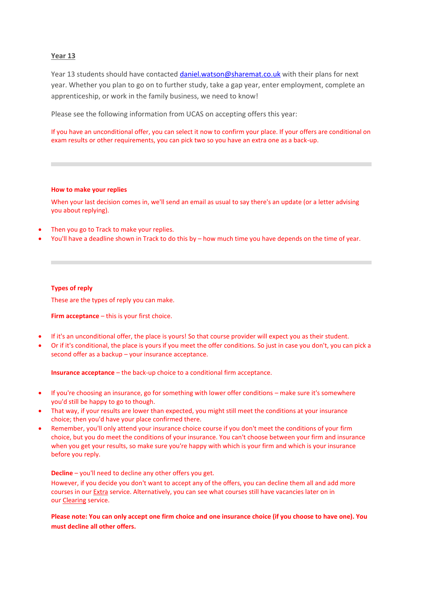### **Year 13**

Year 13 students should have contacted [daniel.watson@sharemat.co.uk](mailto:daniel.watson@sharemat.co.uk) with their plans for next year. Whether you plan to go on to further study, take a gap year, enter employment, complete an apprenticeship, or work in the family business, we need to know!

Please see the following information from UCAS on accepting offers this year:

If you have an unconditional offer, you can select it now to confirm your place. If your offers are conditional on exam results or other requirements, you can pick two so you have an extra one as a back-up.

#### **How to make your replies**

When your last decision comes in, we'll send an email as usual to say there's an update (or a letter advising you about replying).

- Then you go to Track to make your replies.
- You'll have a deadline shown in Track to do this by how much time you have depends on the time of year.

#### **Types of reply**

These are the types of reply you can make.

**Firm acceptance** – this is your first choice.

- If it's an unconditional offer, the place is yours! So that course provider will expect you as their student.
- Or if it's conditional, the place is yours if you meet the offer conditions. So just in case you don't, you can pick a second offer as a backup – your insurance acceptance.

**Insurance acceptance** – the back-up choice to a conditional firm acceptance.

- If you're choosing an insurance, go for something with lower offer conditions make sure it's somewhere you'd still be happy to go to though.
- That way, if your results are lower than expected, you might still meet the conditions at your insurance choice; then you'd have your place confirmed there.
- Remember, you'll only attend your insurance choice course if you don't meet the conditions of your firm choice, but you do meet the conditions of your insurance. You can't choose between your firm and insurance when you get your results, so make sure you're happy with which is your firm and which is your insurance before you reply.

**Decline** – you'll need to decline any other offers you get.

However, if you decide you don't want to accept any of the offers, you can decline them all and add more courses in our [Extra](https://www.ucas.com/undergraduate/after-you-apply/types-offer/extra-choices) service. Alternatively, you can see what courses still have vacancies later on in our [Clearing](https://www.ucas.com/undergraduate/results-confirmation-and-clearing/what-clearing) service.

**Please note: You can only accept one firm choice and one insurance choice (if you choose to have one). You must decline all other offers.**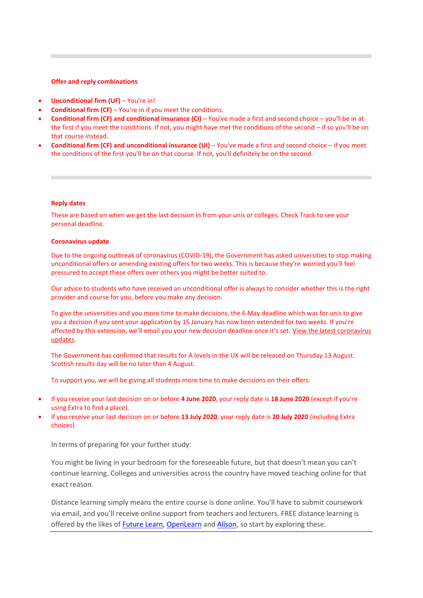#### **Offer and reply combinations**

- **Unconditional firm (UF)** You're in!
- **Conditional firm (CF)** You're in if you meet the conditions.
- **Conditional firm (CF) and conditional insurance (CI)** You've made a first and second choice you'll be in at the first if you meet the conditions. If not, you might have met the conditions of the second – if so you'll be on that course instead.
- **Conditional firm (CF) and unconditional insurance (UI)** You've made a first and second choice if you meet the conditions of the first you'll be on that course. If not, you'll definitely be on the second.

#### **Reply dates**

These are based on when we get the last decision in from your unis or colleges. Check Track to see your personal deadline.

#### **Coronavirus update**

Due to the ongoing outbreak of coronavirus (COVID-19), the Government has asked universities to stop making unconditional offers or amending existing offers for two weeks. This is because they're worried you'll feel pressured to accept these offers over others you might be better suited to.

Our advice to students who have received an unconditional offer is always to consider whether this is the right provider and course for you, before you make any decision. 

To give the universities and you more time to make decisions, the 6 May deadline which was for unis to give you a decision if you sent your application by 15 January has now been extended for two weeks. If you're affected by this extension, we'll email you your new decision deadline once it's set. [View the latest coronavirus](https://www.ucas.com/undergraduate/after-you-apply/coronavirus-covid-19-latest-updates)  [updates.](https://www.ucas.com/undergraduate/after-you-apply/coronavirus-covid-19-latest-updates)

The Government has confirmed that results for A levels in the UK will be released on Thursday 13 August. Scottish results day will be no later than 4 August.

To support you, we will be giving all students more time to make decisions on their offers:

- If you receive your last decision on or before **4 June 2020**, your reply date is **18 June 2020** (except if you're using Extra to find a place).
- If you receive your last decision on or before **13 July 2020**, your reply date is **20 July 2020** (including Extra choices)

In terms of preparing for your further study:

You might be living in your bedroom for the foreseeable future, but that doesn't mean you can't continue learning. Colleges and universities across the country have moved teaching online for that exact reason.

Distance learning simply means the entire course is done online. You'll have to submit coursework via email, and you'll receive online support from teachers and lecturers. FREE distance learning is offered by the likes of [Future Learn,](http://www.futurelearn.com/) [OpenLearn](https://www.open.edu/openlearn/) an[d Alison,](https://alison.com/) so start by exploring these.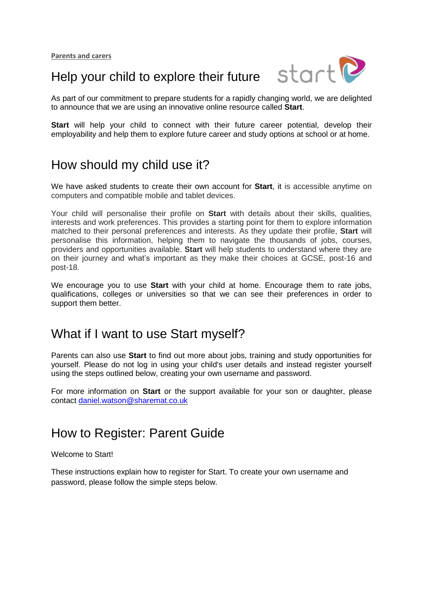

# Help your child to explore their future

As part of our commitment to prepare students for a rapidly changing world, we are delighted to announce that we are using an innovative online resource called **Start**.

**Start** will help your child to connect with their future career potential, develop their employability and help them to explore future career and study options at school or at home.

# How should my child use it?

We have asked students to create their own account for **Start**, it is accessible anytime on computers and compatible mobile and tablet devices.

Your child will personalise their profile on **Start** with details about their skills, qualities, interests and work preferences. This provides a starting point for them to explore information matched to their personal preferences and interests. As they update their profile, **Start** will personalise this information, helping them to navigate the thousands of jobs, courses, providers and opportunities available. **Start** will help students to understand where they are on their journey and what's important as they make their choices at GCSE, post-16 and post-18.

We encourage you to use **Start** with your child at home. Encourage them to rate jobs, qualifications, colleges or universities so that we can see their preferences in order to support them better.

## What if I want to use Start myself?

Parents can also use **Start** to find out more about jobs, training and study opportunities for yourself. Please do not log in using your child's user details and instead register yourself using the steps outlined below, creating your own username and password.

For more information on **Start** or the support available for your son or daughter, please contact [daniel.watson@sharemat.co.uk](mailto:daniel.watson@sharemat.co.uk)

# How to Register: Parent Guide

Welcome to Start!

These instructions explain how to register for Start. To create your own username and password, please follow the simple steps below.